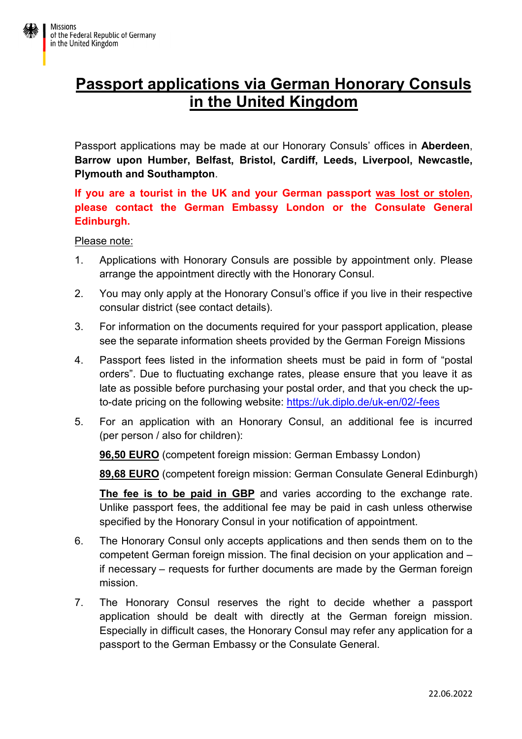# **Passport applications via German Honorary Consuls in the United Kingdom**

Passport applications may be made at our Honorary Consuls' offices in **Aberdeen**, **Barrow upon Humber, Belfast, Bristol, Cardiff, Leeds, Liverpool, Newcastle, Plymouth and Southampton**.

**If you are a tourist in the UK and your German passport was lost or stolen, please contact the German Embassy London or the Consulate General Edinburgh.** 

#### Please note:

- 1. Applications with Honorary Consuls are possible by appointment only. Please arrange the appointment directly with the Honorary Consul.
- 2. You may only apply at the Honorary Consul's office if you live in their respective consular district (see contact details).
- 3. For information on the documents required for your passport application, please see the separate information sheets provided by the German Foreign Missions
- 4. Passport fees listed in the information sheets must be paid in form of "postal orders". Due to fluctuating exchange rates, please ensure that you leave it as late as possible before purchasing your postal order, and that you check the upto-date pricing on the following website: https://uk.diplo.de/uk-en/02/-fees
- 5. For an application with an Honorary Consul, an additional fee is incurred (per person / also for children):

**96,50 EURO** (competent foreign mission: German Embassy London)

**89,68 EURO** (competent foreign mission: German Consulate General Edinburgh)

**The fee is to be paid in GBP** and varies according to the exchange rate. Unlike passport fees, the additional fee may be paid in cash unless otherwise specified by the Honorary Consul in your notification of appointment.

- 6. The Honorary Consul only accepts applications and then sends them on to the competent German foreign mission. The final decision on your application and – if necessary – requests for further documents are made by the German foreign mission.
- 7. The Honorary Consul reserves the right to decide whether a passport application should be dealt with directly at the German foreign mission. Especially in difficult cases, the Honorary Consul may refer any application for a passport to the German Embassy or the Consulate General.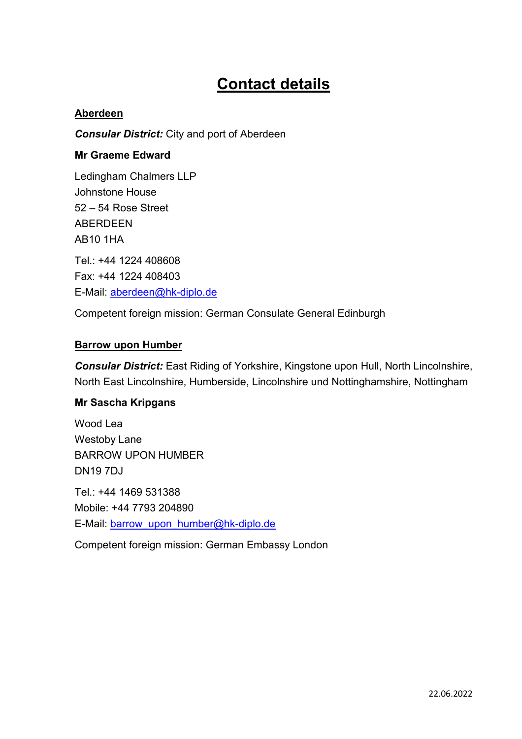# **Contact details**

## **Aberdeen**

*Consular District:* City and port of Aberdeen

### **Mr Graeme Edward**

Ledingham Chalmers LLP Johnstone House 52 – 54 Rose Street ABERDEEN AB10 1HA Tel.: +44 1224 408608 Fax: +44 1224 408403 E-Mail: aberdeen@hk-diplo.de

Competent foreign mission: German Consulate General Edinburgh

#### **Barrow upon Humber**

*Consular District:* East Riding of Yorkshire, Kingstone upon Hull, North Lincolnshire, North East Lincolnshire, Humberside, Lincolnshire und Nottinghamshire, Nottingham

#### **Mr Sascha Kripgans**

Wood Lea Westoby Lane BARROW UPON HUMBER DN19 7DJ Tel.: +44 1469 531388 Mobile: +44 7793 204890 E-Mail: barrow\_upon\_humber@hk-diplo.de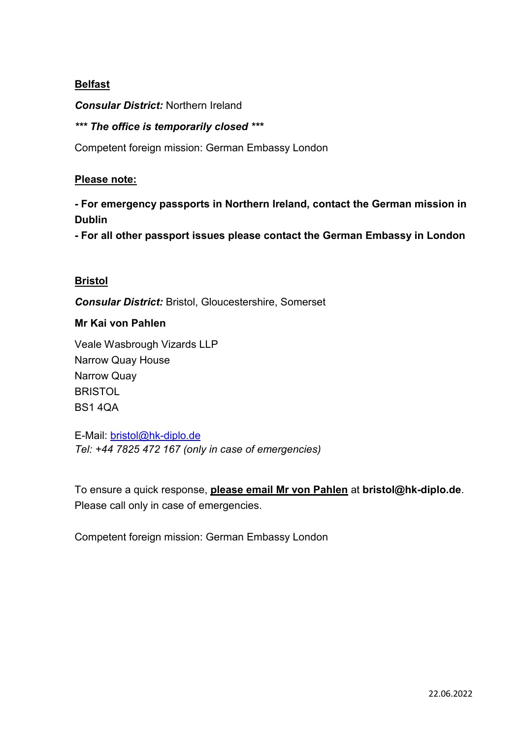# **Belfast**

*Consular District:* Northern Ireland

## *\*\*\* The office is temporarily closed \*\*\**

Competent foreign mission: German Embassy London

### **Please note:**

**- For emergency passports in Northern Ireland, contact the German mission in Dublin** 

**- For all other passport issues please contact the German Embassy in London** 

## **Bristol**

*Consular District:* Bristol, Gloucestershire, Somerset

#### **Mr Kai von Pahlen**

Veale Wasbrough Vizards LLP Narrow Quay House Narrow Quay **BRISTOL** BS1 4QA

E-Mail: bristol@hk-diplo.de *Tel: +44 7825 472 167 (only in case of emergencies)*

To ensure a quick response, **please email Mr von Pahlen** at **bristol@hk-diplo.de**. Please call only in case of emergencies.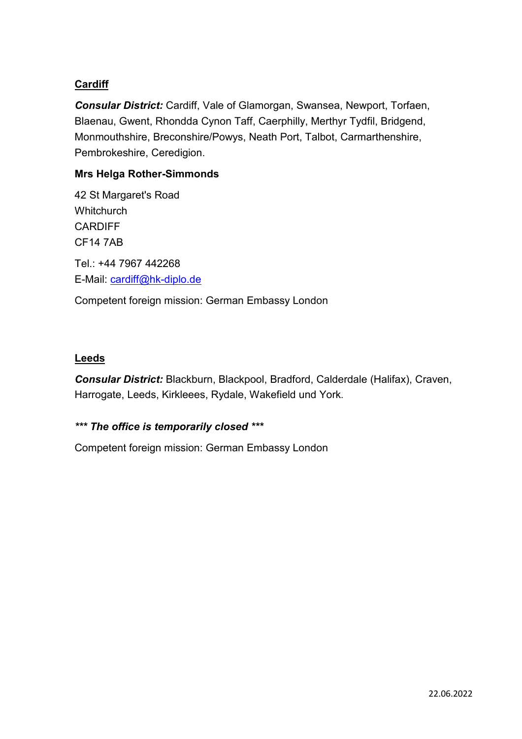# **Cardiff**

*Consular District:* Cardiff, Vale of Glamorgan, Swansea, Newport, Torfaen, Blaenau, Gwent, Rhondda Cynon Taff, Caerphilly, Merthyr Tydfil, Bridgend, Monmouthshire, Breconshire/Powys, Neath Port, Talbot, Carmarthenshire, Pembrokeshire, Ceredigion.

# **Mrs Helga Rother-Simmonds**

42 St Margaret's Road **Whitchurch CARDIFF** CF14 7AB Tel.: +44 7967 442268 E-Mail: cardiff@hk-diplo.de Competent foreign mission: German Embassy London

#### **Leeds**

*Consular District:* Blackburn, Blackpool, Bradford, Calderdale (Halifax), Craven, Harrogate, Leeds, Kirkleees, Rydale, Wakefield und York.

# *\*\*\* The office is temporarily closed \*\*\**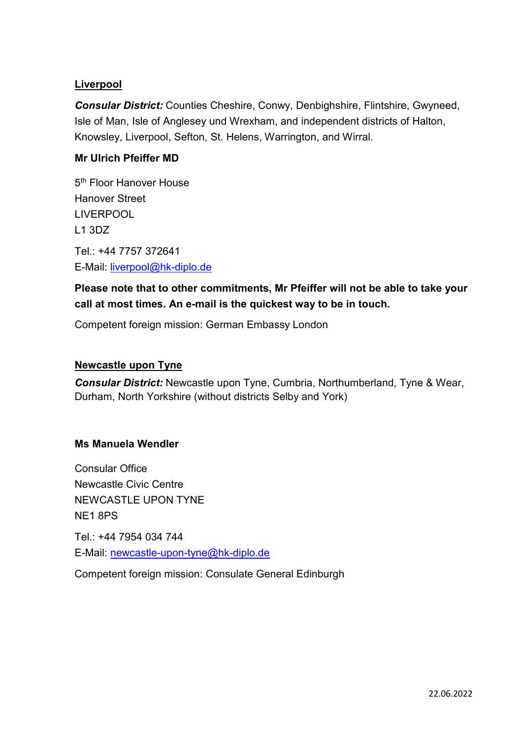# **Liverpool**

*Consular District:* Counties Cheshire, Conwy, Denbighshire, Flintshire, Gwyneed, Isle of Man, Isle of Anglesey und Wrexham, and independent districts of Halton, Knowsley, Liverpool, Sefton, St. Helens, Warrington, and Wirral.

# **Mr Ulrich Pfeiffer MD**

5<sup>th</sup> Floor Hanover House Hanover Street LIVERPOOL L1 3DZ

Tel.: +44 7757 372641 E-Mail: liverpool@hk-diplo.de

# **Please note that to other commitments, Mr Pfeiffer will not be able to take your call at most times. An e-mail is the quickest way to be in touch.**

Competent foreign mission: German Embassy London

### **Newcastle upon Tyne**

*Consular District:* Newcastle upon Tyne, Cumbria, Northumberland, Tyne & Wear, Durham, North Yorkshire (without districts Selby and York)

#### **Ms Manuela Wendler**

Consular Office Newcastle Civic Centre NEWCASTLE UPON TYNE NE1 8PS

Tel.: +44 7954 034 744 E-Mail: newcastle-upon-tyne@hk-diplo.de

Competent foreign mission: Consulate General Edinburgh